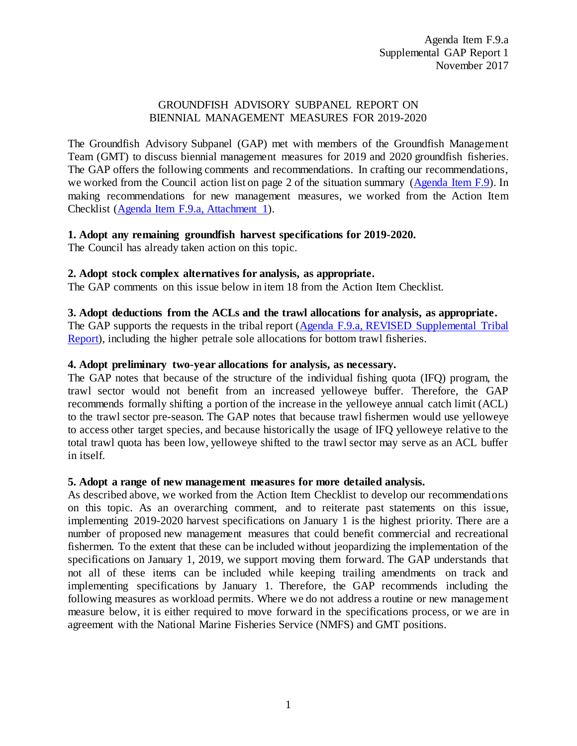#### GROUNDFISH ADVISORY SUBPANEL REPORT ON BIENNIAL MANAGEMENT MEASURES FOR 2019-2020

The Groundfish Advisory Subpanel (GAP) met with members of the Groundfish Management Team (GMT) to discuss biennial management measures for 2019 and 2020 groundfish fisheries. The GAP offers the following comments and recommendations. In crafting our recommendations, we worked from the Council action list on page 2 of the situation summary [\(Agenda Item F.9\)](http://www.pcouncil.org/wp-content/uploads/2017/10/F9__SitSum_MM_2019-2020_NOV2017BB.pdf). In making recommendations for new management measures, we worked from the Action Item Checklist [\(Agenda Item F.9.a, Attachment 1\)](http://www.pcouncil.org/wp-content/uploads/2017/10/F9_Att1_Checklist_NOV2017BB.pdf).

#### **1. Adopt any remaining groundfish harvest specifications for 2019-2020.**

The Council has already taken action on this topic.

#### **2. Adopt stock complex alternatives for analysis, as appropriate.**

The GAP comments on this issue below in item 18 from the Action Item Checklist.

#### **3. Adopt deductions from the ACLs and the trawl allocations for analysis, as appropriate.**

The GAP supports the requests in the tribal report [\(Agenda F.9.a, REVISED Supplemental Tribal](https://www.pcouncil.org/wp-content/uploads/2017/11/F9a_REVISED_Sup_Tribal_Rpt1_NOV2017BB.pdf)  [Report\)](https://www.pcouncil.org/wp-content/uploads/2017/11/F9a_REVISED_Sup_Tribal_Rpt1_NOV2017BB.pdf), including the higher petrale sole allocations for bottom trawl fisheries.

#### **4. Adopt preliminary two-year allocations for analysis, as necessary.**

The GAP notes that because of the structure of the individual fishing quota (IFQ) program, the trawl sector would not benefit from an increased yelloweye buffer. Therefore, the GAP recommends formally shifting a portion of the increase in the yelloweye annual catch limit (ACL) to the trawl sector pre-season. The GAP notes that because trawl fishermen would use yelloweye to access other target species, and because historically the usage of IFQ yelloweye relative to the total trawl quota has been low, yelloweye shifted to the trawl sector may serve as an ACL buffer in itself.

#### **5. Adopt a range of new management measures for more detailed analysis.**

As described above, we worked from the Action Item Checklist to develop our recommendations on this topic. As an overarching comment, and to reiterate past statements on this issue, implementing 2019-2020 harvest specifications on January 1 is the highest priority. There are a number of proposed new management measures that could benefit commercial and recreational fishermen. To the extent that these can be included without jeopardizing the implementation of the specifications on January 1, 2019, we support moving them forward. The GAP understands that not all of these items can be included while keeping trailing amendments on track and implementing specifications by January 1. Therefore, the GAP recommends including the following measures as workload permits. Where we do not address a routine or new management measure below, it is either required to move forward in the specifications process, or we are in agreement with the National Marine Fisheries Service (NMFS) and GMT positions.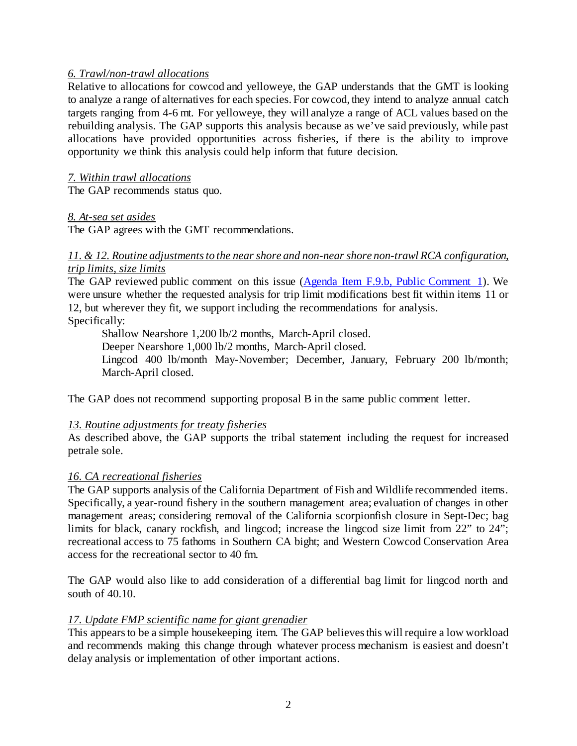#### *6. Trawl/non-trawl allocations*

Relative to allocations for cowcod and yelloweye, the GAP understands that the GMT is looking to analyze a range of alternatives for each species. For cowcod, they intend to analyze annual catch targets ranging from 4-6 mt. For yelloweye, they will analyze a range of ACL values based on the rebuilding analysis. The GAP supports this analysis because as we've said previously, while past allocations have provided opportunities across fisheries, if there is the ability to improve opportunity we think this analysis could help inform that future decision.

#### *7. Within trawl allocations*

The GAP recommends status quo.

#### *8. At-sea set asides*

The GAP agrees with the GMT recommendations.

#### *11. & 12. Routine adjustments to the near shore and non-near shore non-trawl RCA configuration, trip limits, size limits*

The GAP reviewed public comment on this issue [\(Agenda Item F.9.b,](http://www.pcouncil.org/wp-content/uploads/2017/10/F9b_PubCom1_NOV2017BB.pdf) Public Comment 1). We were unsure whether the requested analysis for trip limit modifications best fit within items 11 or 12, but wherever they fit, we support including the recommendations for analysis. Specifically:

Shallow Nearshore 1,200 lb/2 months, March-April closed.

Deeper Nearshore 1,000 lb/2 months, March-April closed.

Lingcod 400 lb/month May-November; December, January, February 200 lb/month; March-April closed.

The GAP does not recommend supporting proposal B in the same public comment letter.

# *13. Routine adjustments for treaty fisheries*

As described above, the GAP supports the tribal statement including the request for increased petrale sole.

# *16. CA recreational fisheries*

The GAP supports analysis of the California Department of Fish and Wildlife recommended items. Specifically, a year-round fishery in the southern management area; evaluation of changes in other management areas; considering removal of the California scorpionfish closure in Sept-Dec; bag limits for black, canary rockfish, and lingcod; increase the lingcod size limit from 22" to 24"; recreational access to 75 fathoms in Southern CA bight; and Western Cowcod Conservation Area access for the recreational sector to 40 fm.

The GAP would also like to add consideration of a differential bag limit for lingcod north and south of 40.10.

#### *17. Update FMP scientific name for giant grenadier*

This appears to be a simple housekeeping item. The GAP believes this will require a low workload and recommends making this change through whatever process mechanism is easiest and doesn't delay analysis or implementation of other important actions.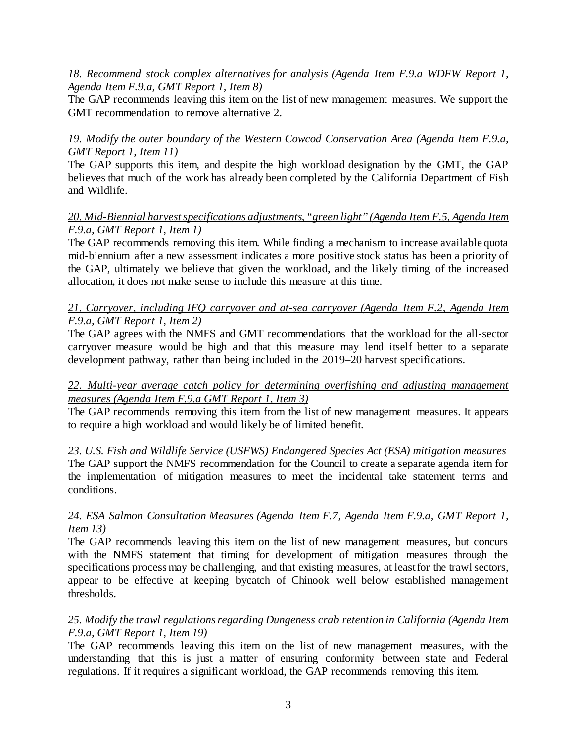# *18. Recommend stock complex alternatives for analysis (Agenda Item F.9.a WDFW Report 1, Agenda Item F.9.a, GMT Report 1, Item 8)*

The GAP recommends leaving this item on the list of new management measures. We support the GMT recommendation to remove alternative 2.

# *19. Modify the outer boundary of the Western Cowcod Conservation Area (Agenda Item F.9.a, GMT Report 1, Item 11)*

The GAP supports this item, and despite the high workload designation by the GMT, the GAP believes that much of the work has already been completed by the California Department of Fish and Wildlife.

# *20. Mid-Biennial harvest specifications adjustments, "green light" (Agenda Item F.5, Agenda Item F.9.a, GMT Report 1, Item 1)*

The GAP recommends removing this item. While finding a mechanism to increase available quota mid-biennium after a new assessment indicates a more positive stock status has been a priority of the GAP, ultimately we believe that given the workload, and the likely timing of the increased allocation, it does not make sense to include this measure at this time.

# *21. Carryover, including IFQ carryover and at-sea carryover (Agenda Item F.2, Agenda Item F.9.a, GMT Report 1, Item 2)*

The GAP agrees with the NMFS and GMT recommendations that the workload for the all-sector carryover measure would be high and that this measure may lend itself better to a separate development pathway, rather than being included in the 2019–20 harvest specifications.

# *22. Multi-year average catch policy for determining overfishing and adjusting management measures (Agenda Item F.9.a GMT Report 1, Item 3)*

The GAP recommends removing this item from the list of new management measures. It appears to require a high workload and would likely be of limited benefit.

*23. U.S. Fish and Wildlife Service (USFWS) Endangered Species Act (ESA) mitigation measures* The GAP support the NMFS recommendation for the Council to create a separate agenda item for the implementation of mitigation measures to meet the incidental take statement terms and conditions.

# *24. ESA Salmon Consultation Measures (Agenda Item F.7, Agenda Item F.9.a, GMT Report 1, Item 13)*

The GAP recommends leaving this item on the list of new management measures, but concurs with the NMFS statement that timing for development of mitigation measures through the specifications process may be challenging, and that existing measures, at least for the trawl sectors, appear to be effective at keeping bycatch of Chinook well below established management thresholds.

# *25. Modify the trawl regulations regarding Dungeness crab retention in California (Agenda Item F.9.a, GMT Report 1, Item 19)*

The GAP recommends leaving this item on the list of new management measures, with the understanding that this is just a matter of ensuring conformity between state and Federal regulations. If it requires a significant workload, the GAP recommends removing this item.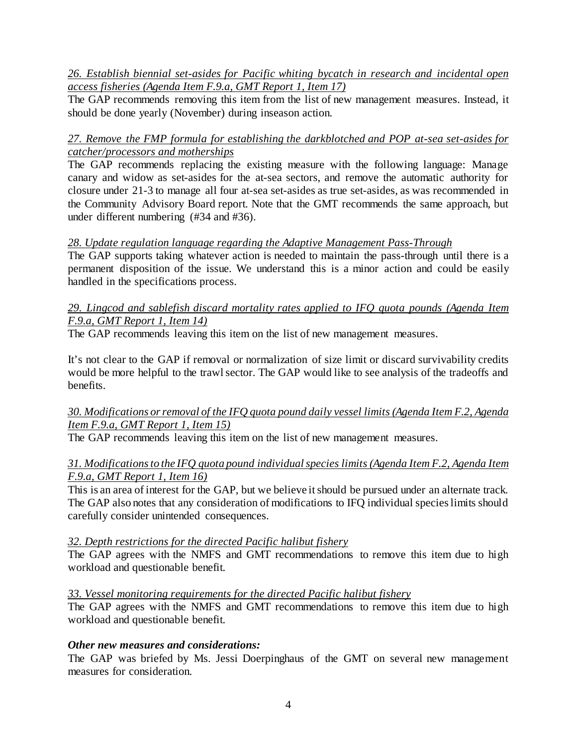#### *26. Establish biennial set-asides for Pacific whiting bycatch in research and incidental open access fisheries (Agenda Item F.9.a, GMT Report 1, Item 17)*

The GAP recommends removing this item from the list of new management measures. Instead, it should be done yearly (November) during inseason action.

# *27. Remove the FMP formula for establishing the darkblotched and POP at-sea set-asides for catcher/processors and motherships*

The GAP recommends replacing the existing measure with the following language: Manage canary and widow as set-asides for the at-sea sectors, and remove the automatic authority for closure under 21-3 to manage all four at-sea set-asides as true set-asides, as was recommended in the Community Advisory Board report. Note that the GMT recommends the same approach, but under different numbering (#34 and #36).

# *28. Update regulation language regarding the Adaptive Management Pass-Through*

The GAP supports taking whatever action is needed to maintain the pass-through until there is a permanent disposition of the issue. We understand this is a minor action and could be easily handled in the specifications process.

#### *29. Lingcod and sablefish discard mortality rates applied to IFQ quota pounds (Agenda Item F.9.a, GMT Report 1, Item 14)*

The GAP recommends leaving this item on the list of new management measures.

It's not clear to the GAP if removal or normalization of size limit or discard survivability credits would be more helpful to the trawl sector. The GAP would like to see analysis of the tradeoffs and benefits.

# *30. Modifications or removal of the IFQ quota pound daily vessel limits (Agenda Item F.2, Agenda Item F.9.a, GMT Report 1, Item 15)*

The GAP recommends leaving this item on the list of new management measures.

# *31. Modifications to the IFQ quota pound individual species limits (Agenda Item F.2, Agenda Item F.9.a, GMT Report 1, Item 16)*

This is an area of interest for the GAP, but we believe it should be pursued under an alternate track. The GAP also notes that any consideration of modifications to IFQ individual species limits should carefully consider unintended consequences.

# *32. Depth restrictions for the directed Pacific halibut fishery*

The GAP agrees with the NMFS and GMT recommendations to remove this item due to high workload and questionable benefit.

# *33. Vessel monitoring requirements for the directed Pacific halibut fishery*

The GAP agrees with the NMFS and GMT recommendations to remove this item due to high workload and questionable benefit.

# *Other new measures and considerations:*

The GAP was briefed by Ms. Jessi Doerpinghaus of the GMT on several new management measures for consideration.